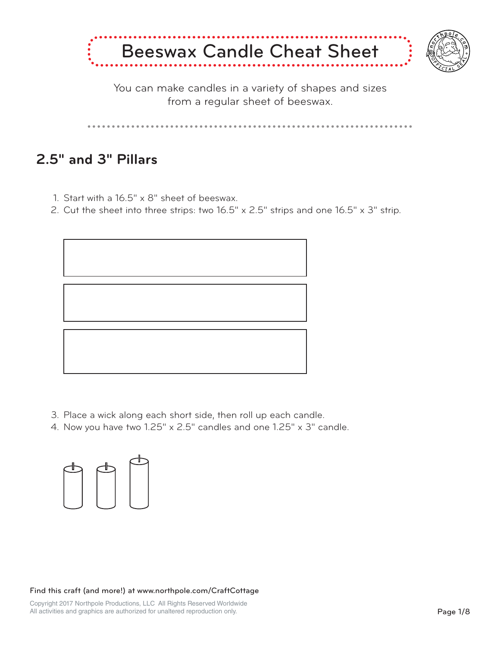

You can make candles in a variety of shapes and sizes from a regular sheet of beeswax.

## **2.5" and 3" Pillars**

- Start with a 16.5" x 8" sheet of beeswax. 1.
- 2. Cut the sheet into three strips: two  $16.5" \times 2.5"$  strips and one  $16.5" \times 3"$  strip.



- Place a wick along each short side, then roll up each candle. 3.
- 4. Now you have two 1.25" x 2.5" candles and one 1.25" x 3" candle.



Find this craft (and more!) at www.northpole.com/CraftCottage

Copyright 2017 Northpole Productions, LLC All Rights Reserved Worldwide All activities and graphics are authorized for unaltered reproduction only.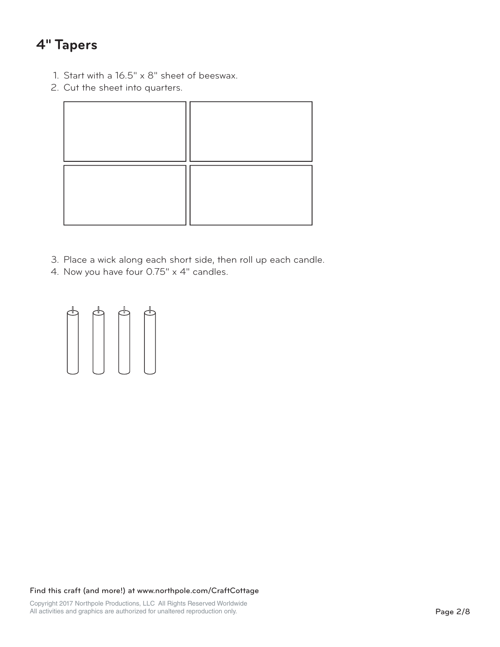## **4" Tapers**

- Start with a 16.5" x 8" sheet of beeswax. 1.
- 2. Cut the sheet into quarters.

- Place a wick along each short side, then roll up each candle. 3.
- 4. Now you have four 0.75" x 4" candles.

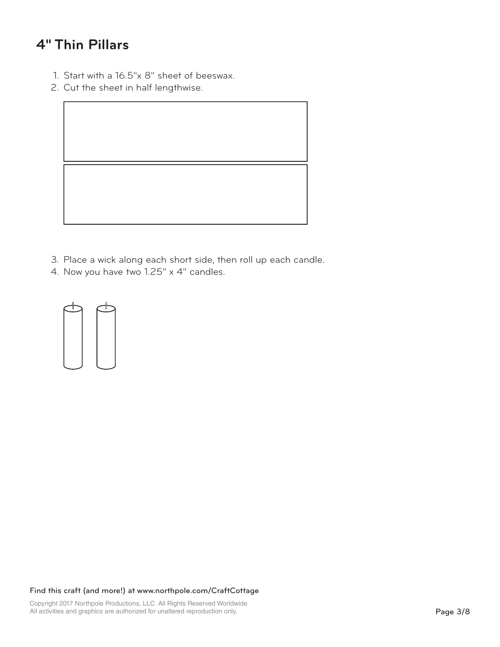## **4" Thin Pillars**

- Start with a 16.5"x 8" sheet of beeswax. 1.
- 2. Cut the sheet in half lengthwise.



- Place a wick along each short side, then roll up each candle. 3.
- 4. Now you have two 1.25" x 4" candles.

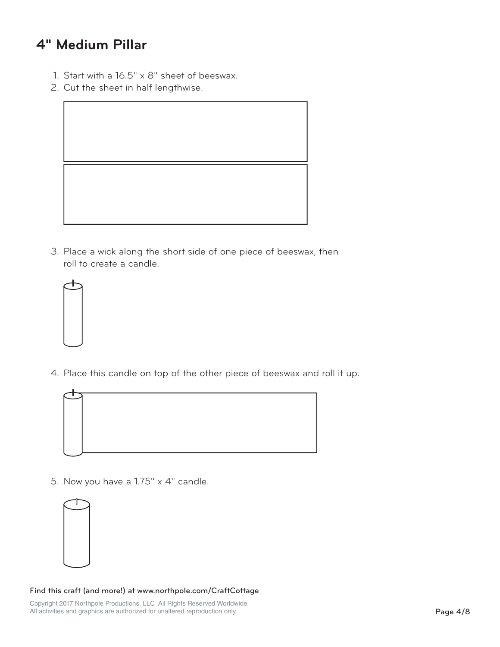## **4" Medium Pillar**

- Start with a 16.5" x 8" sheet of beeswax. 1.
- 2. Cut the sheet in half lengthwise.



3. Place a wick along the short side of one piece of beeswax, then roll to create a candle.



Place this candle on top of the other piece of beeswax and roll it up. 4.



5. Now you have a  $1.75" \times 4"$  candle.



### Find this craft (and more!) at www.northpole.com/CraftCottage

Copyright 2017 Northpole Productions, LLC All Rights Reserved Worldwide All activities and graphics are authorized for unaltered reproduction only.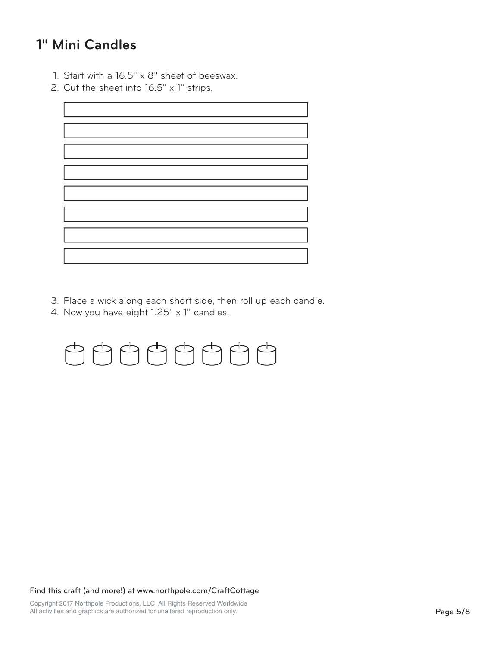## **1" Mini Candles**

- Start with a 16.5" x 8" sheet of beeswax. 1.
- Cut the sheet into 16.5" x 1" strips. 2.

- Place a wick along each short side, then roll up each candle. 3.
- 4. Now you have eight 1.25" x 1" candles.

# $\begin{picture}(130,10) \put(0,0){\line(1,0){10}} \put(15,0){\line(1,0){10}} \put(15,0){\line(1,0){10}} \put(15,0){\line(1,0){10}} \put(15,0){\line(1,0){10}} \put(15,0){\line(1,0){10}} \put(15,0){\line(1,0){10}} \put(15,0){\line(1,0){10}} \put(15,0){\line(1,0){10}} \put(15,0){\line(1,0){10}} \put(15,0){\line(1,0){10}} \put(15,0){\line($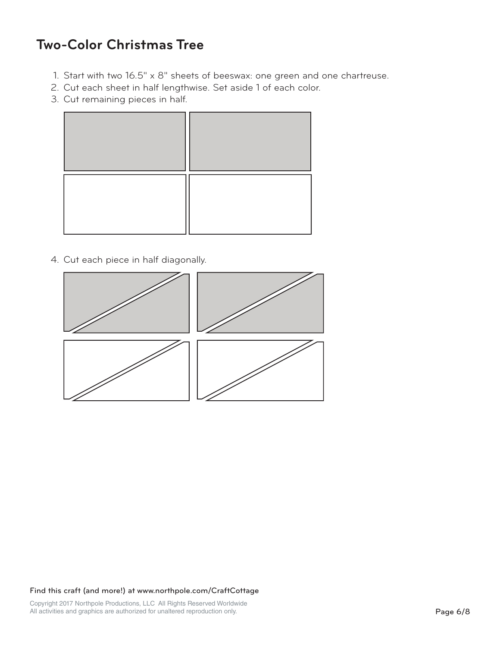### **Two-Color Christmas Tree**

- Start with two 16.5" x 8" sheets of beeswax: one green and one chartreuse. 1.
- 2. Cut each sheet in half lengthwise. Set aside 1 of each color.
- 3. Cut remaining pieces in half.



4. Cut each piece in half diagonally.

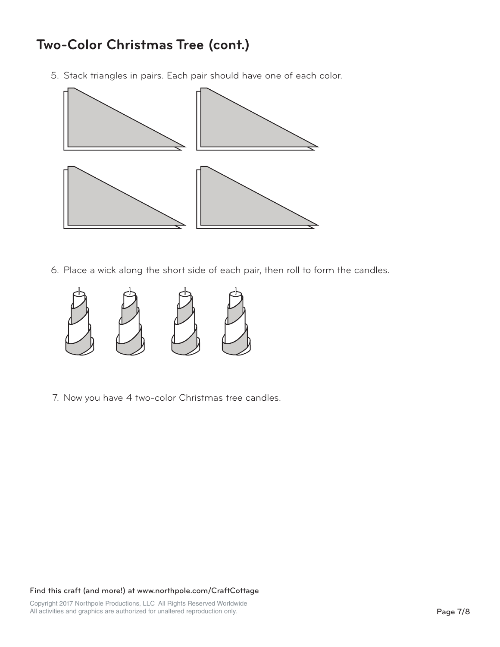# **Two-Color Christmas Tree (cont.)**

5. Stack triangles in pairs. Each pair should have one of each color.



Place a wick along the short side of each pair, then roll to form the candles. 6.



7. Now you have 4 two-color Christmas tree candles.